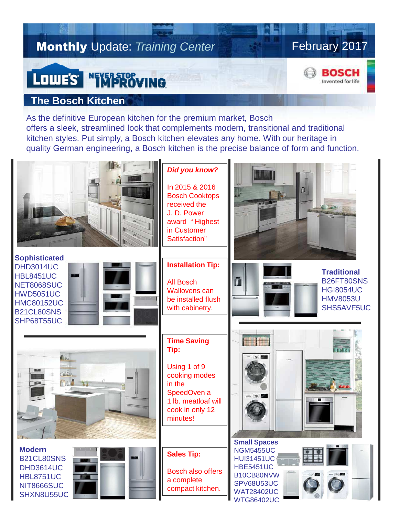## **Monthly Update: Training Center**

## February 2017

## BOSCH Invented for life

## **The Bosch Kitchen**

LOWE'S NEWPROVING

As the definitive European kitchen for the premium market, Bosch offers a sleek, streamlined look that complements modern, transitional and traditional kitchen styles. Put simply, a Bosch kitchen elevates any home. With our heritage in quality German engineering, a Bosch kitchen is the precise balance of form and function.